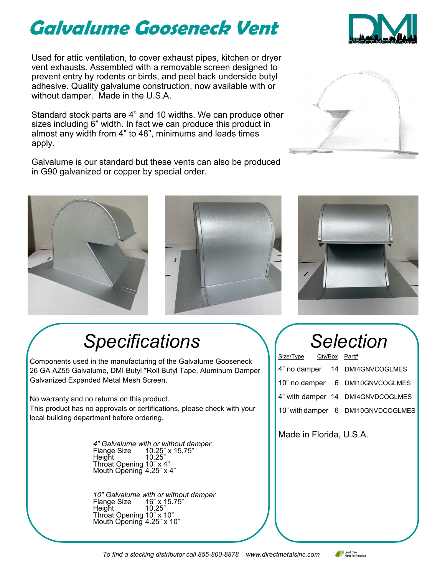## **Galvalume Gooseneck Vent**

Used for attic ventilation, to cover exhaust pipes, kitchen or dryer vent exhausts. Assembled with a removable screen designed to prevent entry by rodents or birds, and peel back underside butyl adhesive. Quality galvalume construction, now available with or without damper. Made in the U.S.A.

Standard stock parts are 4" and 10 widths. We can produce other sizes including 6" width. In fact we can produce this product in almost any width from 4" to 48", minimums and leads times apply.

Galvalume is our standard but these vents can also be produced in G90 galvanized or copper by special order.



### *Specifications*

Components used in the manufacturing of the Galvalume Gooseneck 26 GA AZ55 Galvalume, DMI Butyl \*Roll Butyl Tape, Aluminum Damper Galvanized Expanded Metal Mesh Screen.

No warranty and no returns on this product.

This product has no approvals or certifications, please check with your local building department before ordering.

> *4" Galvalume with or without damper*  Flange Size 10.25" x 15.75" Height 10.25" Throat Opening 10"  $\times$  4" Mouth Opening 4.25" x 4"

*10" Galvalume with or without damper*  Flange Size Height Throat Opening 10" x 10" Mouth Opening 4.25" x 10"

# *Selection*

| Size/Type Qty/Box Part# |  |                                    |
|-------------------------|--|------------------------------------|
|                         |  | 4" no damper 14 DMI4GNVCOGLMES     |
|                         |  | 10" no damper 6 DMI10GNVCOGLMES    |
|                         |  | 4" with damper 14 DMI4GNVDCOGLMES  |
|                         |  | 10" with damper 6 DMI10GNVDCOGLMES |

Made in Florida, U.S.A.